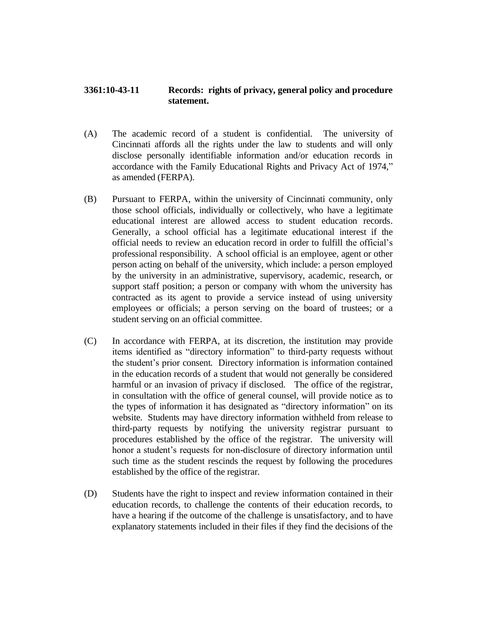## **3361:10-43-11 Records: rights of privacy, general policy and procedure statement.**

- (A) The academic record of a student is confidential. The university of Cincinnati affords all the rights under the law to students and will only disclose personally identifiable information and/or education records in accordance with the Family Educational Rights and Privacy Act of 1974," as amended (FERPA).
- (B) Pursuant to FERPA, within the university of Cincinnati community, only those school officials, individually or collectively, who have a legitimate educational interest are allowed access to student education records. Generally, a school official has a legitimate educational interest if the official needs to review an education record in order to fulfill the official's professional responsibility. A school official is an employee, agent or other person acting on behalf of the university, which include: a person employed by the university in an administrative, supervisory, academic, research, or support staff position; a person or company with whom the university has contracted as its agent to provide a service instead of using university employees or officials; a person serving on the board of trustees; or a student serving on an official committee.
- (C) In accordance with FERPA, at its discretion, the institution may provide items identified as "directory information" to third-party requests without the student's prior consent. Directory information is information contained in the education records of a student that would not generally be considered harmful or an invasion of privacy if disclosed. The office of the registrar, in consultation with the office of general counsel, will provide notice as to the types of information it has designated as "directory information" on its website. Students may have directory information withheld from release to third-party requests by notifying the university registrar pursuant to procedures established by the office of the registrar. The university will honor a student's requests for non-disclosure of directory information until such time as the student rescinds the request by following the procedures established by the office of the registrar.
- (D) Students have the right to inspect and review information contained in their education records, to challenge the contents of their education records, to have a hearing if the outcome of the challenge is unsatisfactory, and to have explanatory statements included in their files if they find the decisions of the